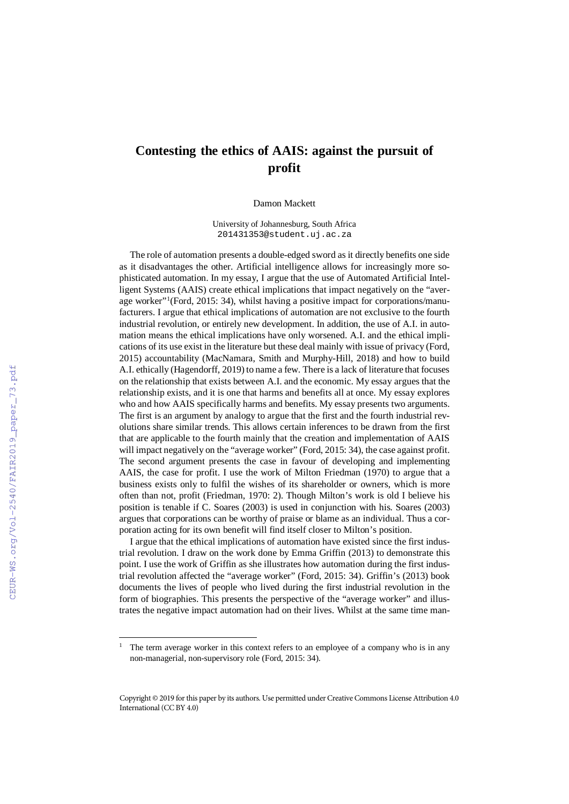## **Contesting the ethics of AAIS: against the pursuit of profit**

Damon Mackett

University of Johannesburg, South Africa [201431353@student.uj.ac.za](mailto:201431353@student.uj.ac.za)

The role of automation presents a double-edged sword as it directly benefits one side as it disadvantages the other. Artificial intelligence allows for increasingly more sophisticated automation. In my essay, I argue that the use of Automated Artificial Intelligent Systems (AAIS) create ethical implications that impact negatively on the "aver-age worker"<sup>[1](#page-0-0)</sup>(Ford, 2015: 34), whilst having a positive impact for corporations/manufacturers. I argue that ethical implications of automation are not exclusive to the fourth industrial revolution, or entirely new development. In addition, the use of A.I. in automation means the ethical implications have only worsened. A.I. and the ethical implications of its use exist in the literature but these deal mainly with issue of privacy (Ford, 2015) accountability (MacNamara, Smith and Murphy-Hill, 2018) and how to build A.I. ethically (Hagendorff, 2019) to name a few. There is a lack of literature that focuses on the relationship that exists between A.I. and the economic. My essay argues that the relationship exists, and it is one that harms and benefits all at once. My essay explores who and how AAIS specifically harms and benefits. My essay presents two arguments. The first is an argument by analogy to argue that the first and the fourth industrial revolutions share similar trends. This allows certain inferences to be drawn from the first that are applicable to the fourth mainly that the creation and implementation of AAIS will impact negatively on the "average worker" (Ford, 2015: 34), the case against profit. The second argument presents the case in favour of developing and implementing AAIS, the case for profit. I use the work of Milton Friedman (1970) to argue that a business exists only to fulfil the wishes of its shareholder or owners, which is more often than not, profit (Friedman, 1970: 2). Though Milton's work is old I believe his position is tenable if C. Soares (2003) is used in conjunction with his. Soares (2003) argues that corporations can be worthy of praise or blame as an individual. Thus a corporation acting for its own benefit will find itself closer to Milton's position.

I argue that the ethical implications of automation have existed since the first industrial revolution. I draw on the work done by Emma Griffin (2013) to demonstrate this point. I use the work of Griffin as she illustrates how automation during the first industrial revolution affected the "average worker" (Ford, 2015: 34). Griffin's (2013) book documents the lives of people who lived during the first industrial revolution in the form of biographies. This presents the perspective of the "average worker" and illustrates the negative impact automation had on their lives. Whilst at the same time man-

<span id="page-0-0"></span><sup>&</sup>lt;sup>1</sup> The term average worker in this context refers to an employee of a company who is in any non-managerial, non-supervisory role (Ford, 2015: 34).

Copyright © 2019 for this paper by its authors. Use permitted under Creative Commons License Attribution 4.0 International (CC BY 4.0)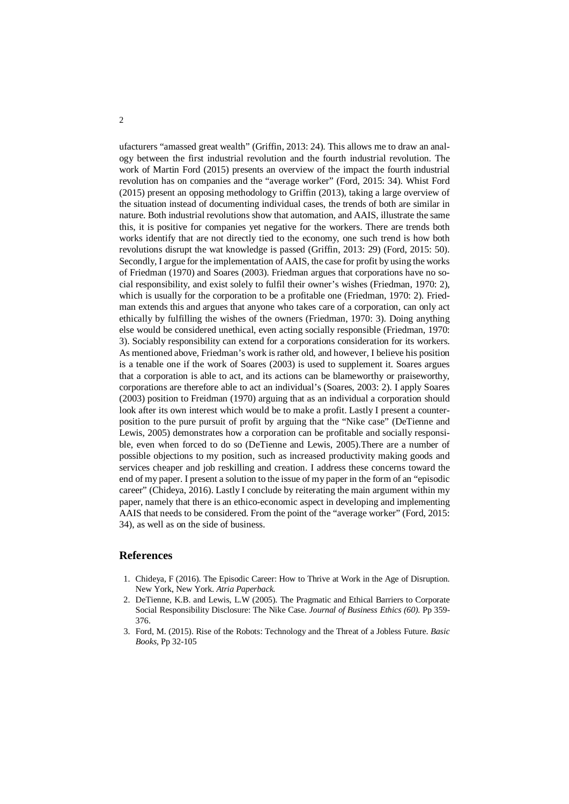ufacturers "amassed great wealth" (Griffin, 2013: 24). This allows me to draw an analogy between the first industrial revolution and the fourth industrial revolution. The work of Martin Ford (2015) presents an overview of the impact the fourth industrial revolution has on companies and the "average worker" (Ford, 2015: 34). Whist Ford (2015) present an opposing methodology to Griffin (2013), taking a large overview of the situation instead of documenting individual cases, the trends of both are similar in nature. Both industrial revolutions show that automation, and AAIS, illustrate the same this, it is positive for companies yet negative for the workers. There are trends both works identify that are not directly tied to the economy, one such trend is how both revolutions disrupt the wat knowledge is passed (Griffin, 2013: 29) (Ford, 2015: 50). Secondly, I argue for the implementation of AAIS, the case for profit by using the works of Friedman (1970) and Soares (2003). Friedman argues that corporations have no social responsibility, and exist solely to fulfil their owner's wishes (Friedman, 1970: 2), which is usually for the corporation to be a profitable one (Friedman, 1970: 2). Friedman extends this and argues that anyone who takes care of a corporation, can only act ethically by fulfilling the wishes of the owners (Friedman, 1970: 3). Doing anything else would be considered unethical, even acting socially responsible (Friedman, 1970: 3). Sociably responsibility can extend for a corporations consideration for its workers. As mentioned above, Friedman's work is rather old, and however, I believe his position is a tenable one if the work of Soares (2003) is used to supplement it. Soares argues that a corporation is able to act, and its actions can be blameworthy or praiseworthy, corporations are therefore able to act an individual's (Soares, 2003: 2). I apply Soares (2003) position to Freidman (1970) arguing that as an individual a corporation should look after its own interest which would be to make a profit. Lastly I present a counterposition to the pure pursuit of profit by arguing that the "Nike case" (DeTienne and Lewis, 2005) demonstrates how a corporation can be profitable and socially responsible, even when forced to do so (DeTienne and Lewis, 2005).There are a number of possible objections to my position, such as increased productivity making goods and services cheaper and job reskilling and creation. I address these concerns toward the end of my paper. I present a solution to the issue of my paper in the form of an "episodic career" (Chideya, 2016). Lastly I conclude by reiterating the main argument within my paper, namely that there is an ethico-economic aspect in developing and implementing AAIS that needs to be considered. From the point of the "average worker" (Ford, 2015: 34), as well as on the side of business.

## **References**

- 1. Chideya, F (2016). The Episodic Career: How to Thrive at Work in the Age of Disruption. New York, New York. *Atria Paperback.*
- 2. DeTienne, K.B. and Lewis, L.W (2005). The Pragmatic and Ethical Barriers to Corporate Social Responsibility Disclosure: The Nike Case. *Journal of Business Ethics (60).* Pp 359- 376.
- 3. Ford, M. (2015). Rise of the Robots: Technology and the Threat of a Jobless Future. *Basic Books,* Pp 32-105